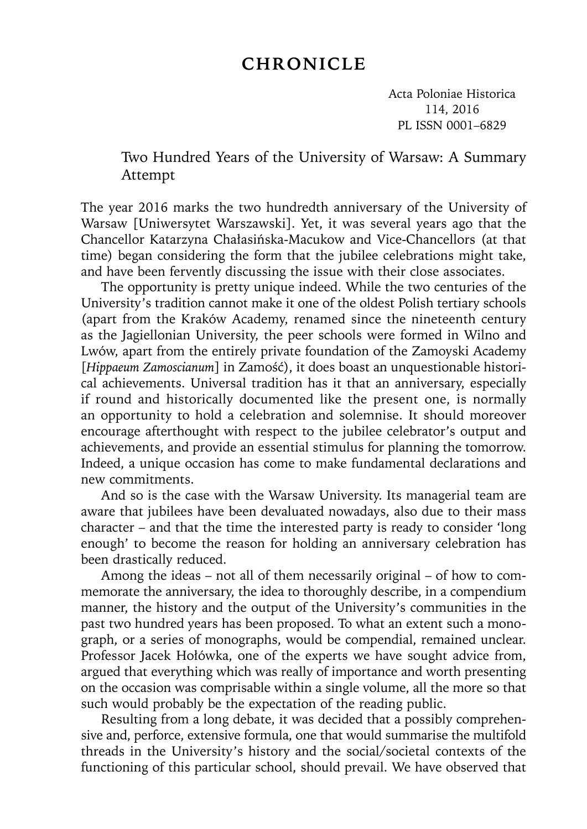## **CHRONICLE**

Acta Poloniae Historica 114, 2016 PL ISSN 0001–6829

## Two Hundred Years of the University of Warsaw: A Summary Attempt

The year 2016 marks the two hundredth anniversary of the University of Warsaw [Uniwersytet Warszawski]. Yet, it was several years ago that the Chancellor Katarzyna Chałasińska-Macukow and Vice-Chancellors (at that time) began considering the form that the jubilee celebrations might take, and have been fervently discussing the issue with their close associates.

The opportunity is pretty unique indeed. While the two centuries of the University's tradition cannot make it one of the oldest Polish tertiary schools (apart from the Kraków Academy, renamed since the nineteenth century as the Jagiellonian University, the peer schools were formed in Wilno and Lwów, apart from the entirely private foundation of the Zamoyski Academy [*Hippaeum Zamoscianum*] in Zamość), it does boast an unquestionable historical achievements. Universal tradition has it that an anniversary, especially if round and historically documented like the present one, is normally an opportunity to hold a celebration and solemnise. It should moreover encourage afterthought with respect to the jubilee celebrator's output and achievements, and provide an essential stimulus for planning the tomorrow. Indeed, a unique occasion has come to make fundamental declarations and new commitments.

And so is the case with the Warsaw University. Its managerial team are aware that jubilees have been devaluated nowadays, also due to their mass character – and that the time the interested party is ready to consider 'long enough' to become the reason for holding an anniversary celebration has been drastically reduced.

Among the ideas – not all of them necessarily original – of how to commemorate the anniversary, the idea to thoroughly describe, in a compendium manner, the history and the output of the University's communities in the past two hundred years has been proposed. To what an extent such a monograph, or a series of monographs, would be compendial, remained unclear. Professor Jacek Hołówka, one of the experts we have sought advice from, argued that everything which was really of importance and worth presenting on the occasion was comprisable within a single volume, all the more so that such would probably be the expectation of the reading public.

Resulting from a long debate, it was decided that a possibly comprehensive and, perforce, extensive formula, one that would summarise the multifold threads in the University's history and the social/societal contexts of the functioning of this particular school, should prevail. We have observed that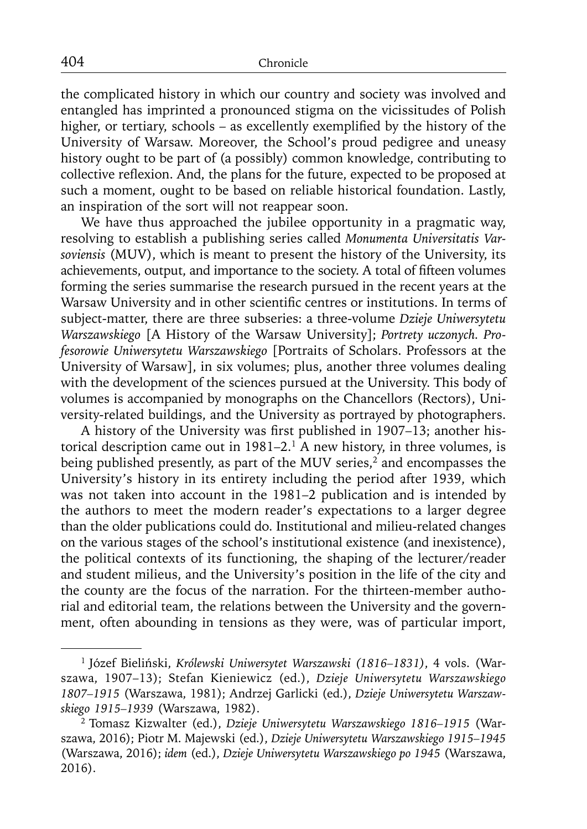the complicated history in which our country and society was involved and entangled has imprinted a pronounced stigma on the vicissitudes of Polish higher, or tertiary, schools – as excellently exemplified by the history of the University of Warsaw. Moreover, the School's proud pedigree and uneasy history ought to be part of (a possibly) common knowledge, contributing to collective reflexion. And, the plans for the future, expected to be proposed at such a moment, ought to be based on reliable historical foundation. Lastly, an inspiration of the sort will not reappear soon.

We have thus approached the jubilee opportunity in a pragmatic way, resolving to establish a publishing series called *Monumenta Universitatis Varsoviensis* (MUV), which is meant to present the history of the University, its achievements, output, and importance to the society. A total of fifteen volumes forming the series summarise the research pursued in the recent years at the Warsaw University and in other scientific centres or institutions. In terms of subject-matter, there are three subseries: a three-volume *Dzieje Uniwersytetu Warszawskiego* [A History of the Warsaw University]; *Portrety uczonych. Profesorowie Uniwersytetu Warszawskiego* [Portraits of Scholars. Professors at the University of Warsaw], in six volumes; plus, another three volumes dealing with the development of the sciences pursued at the University. This body of volumes is accompanied by monographs on the Chancellors (Rectors), University-related buildings, and the University as portrayed by photographers.

A history of the University was first published in 1907–13; another historical description came out in  $1981-2$ .<sup>1</sup> A new history, in three volumes, is being published presently, as part of the MUV series,<sup>2</sup> and encompasses the University's history in its entirety including the period after 1939, which was not taken into account in the 1981–2 publication and is intended by the authors to meet the modern reader's expectations to a larger degree than the older publications could do. Institutional and milieu-related changes on the various stages of the school's institutional existence (and inexistence), the political contexts of its functioning, the shaping of the lecturer/reader and student milieus, and the University's position in the life of the city and the county are the focus of the narration. For the thirteen-member authorial and editorial team, the relations between the University and the government, often abounding in tensions as they were, was of particular import,

<sup>1</sup> Józef Bieliński, *Królewski Uniwersytet Warszawski (1816–1831)*, 4 vols. (Warszawa, 1907–13); Stefan Kieniewicz (ed.), *Dzieje Uniwersytetu Warszawskiego 1807–1915* (Warszawa, 1981); Andrzej Garlicki (ed.), *Dzieje Uniwersytetu Warszawskiego 1915–1939* (Warszawa, 1982).

<sup>2</sup> Tomasz Kizwalter (ed.), *Dzieje Uniwersytetu Warszawskiego 1816–1915* (Warszawa, 2016); Piotr M. Majewski (ed.), *Dzieje Uniwersytetu Warszawskiego 1915–1945* (Warszawa, 2016); *idem* (ed.), *Dzieje Uniwersytetu Warszawskiego po 1945* (Warszawa, 2016).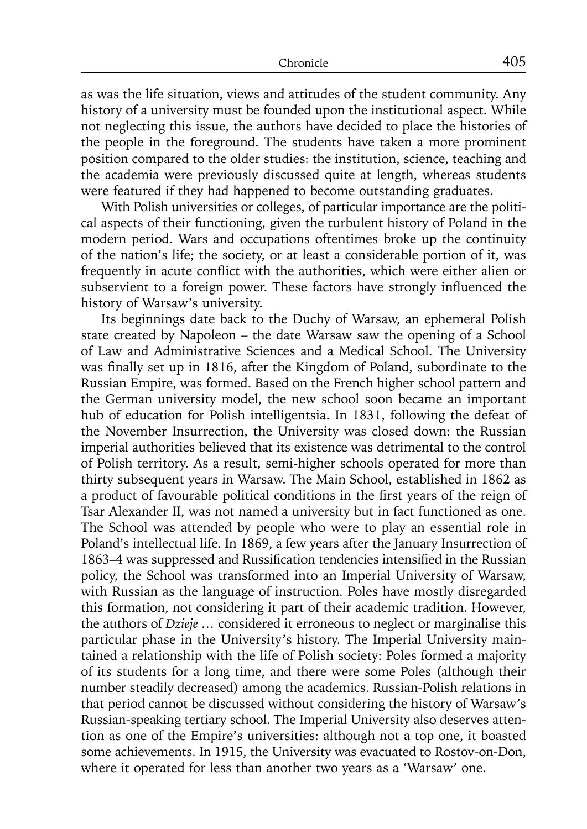as was the life situation, views and attitudes of the student community. Any history of a university must be founded upon the institutional aspect. While not neglecting this issue, the authors have decided to place the histories of the people in the foreground. The students have taken a more prominent position compared to the older studies: the institution, science, teaching and the academia were previously discussed quite at length, whereas students were featured if they had happened to become outstanding graduates.

With Polish universities or colleges, of particular importance are the political aspects of their functioning, given the turbulent history of Poland in the modern period. Wars and occupations oftentimes broke up the continuity of the nation's life; the society, or at least a considerable portion of it, was frequently in acute conflict with the authorities, which were either alien or subservient to a foreign power. These factors have strongly influenced the history of Warsaw's university.

Its beginnings date back to the Duchy of Warsaw, an ephemeral Polish state created by Napoleon – the date Warsaw saw the opening of a School of Law and Administrative Sciences and a Medical School. The University was finally set up in 1816, after the Kingdom of Poland, subordinate to the Russian Empire, was formed. Based on the French higher school pattern and the German university model, the new school soon became an important hub of education for Polish intelligentsia. In 1831, following the defeat of the November Insurrection, the University was closed down: the Russian imperial authorities believed that its existence was detrimental to the control of Polish territory. As a result, semi-higher schools operated for more than thirty subsequent years in Warsaw. The Main School, established in 1862 as a product of favourable political conditions in the first years of the reign of Tsar Alexander II, was not named a university but in fact functioned as one. The School was attended by people who were to play an essential role in Poland's intellectual life. In 1869, a few years after the January Insurrection of 1863–4 was suppressed and Russification tendencies intensified in the Russian policy, the School was transformed into an Imperial University of Warsaw, with Russian as the language of instruction. Poles have mostly disregarded this formation, not considering it part of their academic tradition. However, the authors of *Dzieje …* considered it erroneous to neglect or marginalise this particular phase in the University's history. The Imperial University maintained a relationship with the life of Polish society: Poles formed a majority of its students for a long time, and there were some Poles (although their number steadily decreased) among the academics. Russian-Polish relations in that period cannot be discussed without considering the history of Warsaw's Russian-speaking tertiary school. The Imperial University also deserves attention as one of the Empire's universities: although not a top one, it boasted some achievements. In 1915, the University was evacuated to Rostov-on-Don, where it operated for less than another two years as a 'Warsaw' one.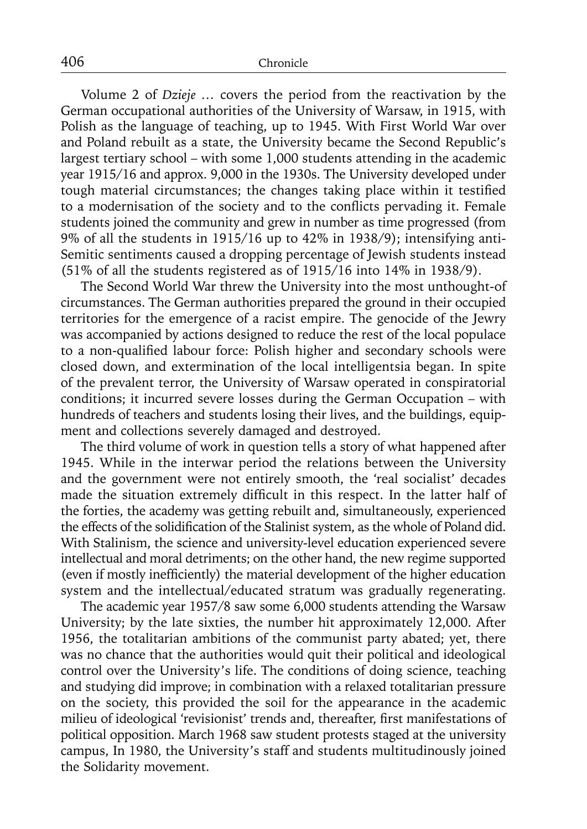Volume 2 of *Dzieje …* covers the period from the reactivation by the German occupational authorities of the University of Warsaw, in 1915, with Polish as the language of teaching, up to 1945. With First World War over and Poland rebuilt as a state, the University became the Second Republic's largest tertiary school – with some 1,000 students attending in the academic year 1915/16 and approx. 9,000 in the 1930s. The University developed under tough material circumstances; the changes taking place within it testified to a modernisation of the society and to the conflicts pervading it. Female students joined the community and grew in number as time progressed (from 9% of all the students in 1915/16 up to 42% in 1938/9); intensifying anti-Semitic sentiments caused a dropping percentage of Jewish students instead (51% of all the students registered as of 1915/16 into 14% in 1938/9).

The Second World War threw the University into the most unthought-of circumstances. The German authorities prepared the ground in their occupied territories for the emergence of a racist empire. The genocide of the Jewry was accompanied by actions designed to reduce the rest of the local populace to a non-qualified labour force: Polish higher and secondary schools were closed down, and extermination of the local intelligentsia began. In spite of the prevalent terror, the University of Warsaw operated in conspiratorial conditions; it incurred severe losses during the German Occupation – with hundreds of teachers and students losing their lives, and the buildings, equipment and collections severely damaged and destroyed.

The third volume of work in question tells a story of what happened after 1945. While in the interwar period the relations between the University and the government were not entirely smooth, the 'real socialist' decades made the situation extremely difficult in this respect. In the latter half of the forties, the academy was getting rebuilt and, simultaneously, experienced the effects of the solidification of the Stalinist system, as the whole of Poland did. With Stalinism, the science and university-level education experienced severe intellectual and moral detriments; on the other hand, the new regime supported (even if mostly inefficiently) the material development of the higher education system and the intellectual/educated stratum was gradually regenerating.

The academic year 1957/8 saw some 6,000 students attending the Warsaw University; by the late sixties, the number hit approximately 12,000. After 1956, the totalitarian ambitions of the communist party abated; yet, there was no chance that the authorities would quit their political and ideological control over the University's life. The conditions of doing science, teaching and studying did improve; in combination with a relaxed totalitarian pressure on the society, this provided the soil for the appearance in the academic milieu of ideological 'revisionist' trends and, thereafter, first manifestations of political opposition. March 1968 saw student protests staged at the university campus, In 1980, the University's staff and students multitudinously joined the Solidarity movement.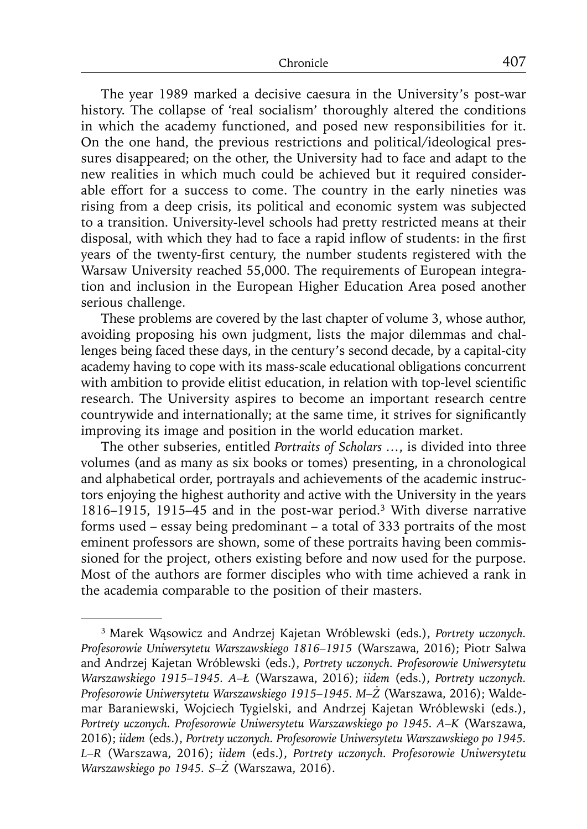The year 1989 marked a decisive caesura in the University's post-war history. The collapse of 'real socialism' thoroughly altered the conditions in which the academy functioned, and posed new responsibilities for it. On the one hand, the previous restrictions and political/ideological pressures disappeared; on the other, the University had to face and adapt to the new realities in which much could be achieved but it required considerable effort for a success to come. The country in the early nineties was rising from a deep crisis, its political and economic system was subjected to a transition. University-level schools had pretty restricted means at their disposal, with which they had to face a rapid inflow of students: in the first years of the twenty-first century, the number students registered with the Warsaw University reached 55,000. The requirements of European integration and inclusion in the European Higher Education Area posed another serious challenge.

These problems are covered by the last chapter of volume 3, whose author, avoiding proposing his own judgment, lists the major dilemmas and challenges being faced these days, in the century's second decade, by a capital-city academy having to cope with its mass-scale educational obligations concurrent with ambition to provide elitist education, in relation with top-level scientific research. The University aspires to become an important research centre countrywide and internationally; at the same time, it strives for significantly improving its image and position in the world education market.

The other subseries, entitled *Portraits of Scholars …*, is divided into three volumes (and as many as six books or tomes) presenting, in a chronological and alphabetical order, portrayals and achievements of the academic instructors enjoying the highest authority and active with the University in the years 1816–1915, 1915–45 and in the post-war period.3 With diverse narrative forms used – essay being predominant – a total of 333 portraits of the most eminent professors are shown, some of these portraits having been commissioned for the project, others existing before and now used for the purpose. Most of the authors are former disciples who with time achieved a rank in the academia comparable to the position of their masters.

<sup>3</sup> Marek Wąsowicz and Andrzej Kajetan Wróblewski (eds.), *Portrety uczonych. Profesorowie Uniwersytetu Warszawskiego 1816–1915* (Warszawa, 2016); Piotr Salwa and Andrzej Kajetan Wróblewski (eds.), *Portrety uczonych. Profesorowie Uniwersytetu Warszawskiego 1915–1945. A–Ł* (Warszawa, 2016); *iidem* (eds.), *Portrety uczonych. Profesorowie Uniwersytetu Warszawskiego 1915–1945. M–Ż* (Warszawa, 2016); Waldemar Baraniewski, Wojciech Tygielski, and Andrzej Kajetan Wróblewski (eds.), *Portrety uczonych. Profesorowie Uniwersytetu Warszawskiego po 1945. A–K* (Warszawa, 2016); *iidem* (eds.), *Portrety uczonych. Profesorowie Uniwersytetu Warszawskiego po 1945. L–R* (Warszawa, 2016); *iidem* (eds.), *Portrety uczonych. Profesorowie Uniwersytetu Warszawskiego po 1945. S–Ż* (Warszawa, 2016).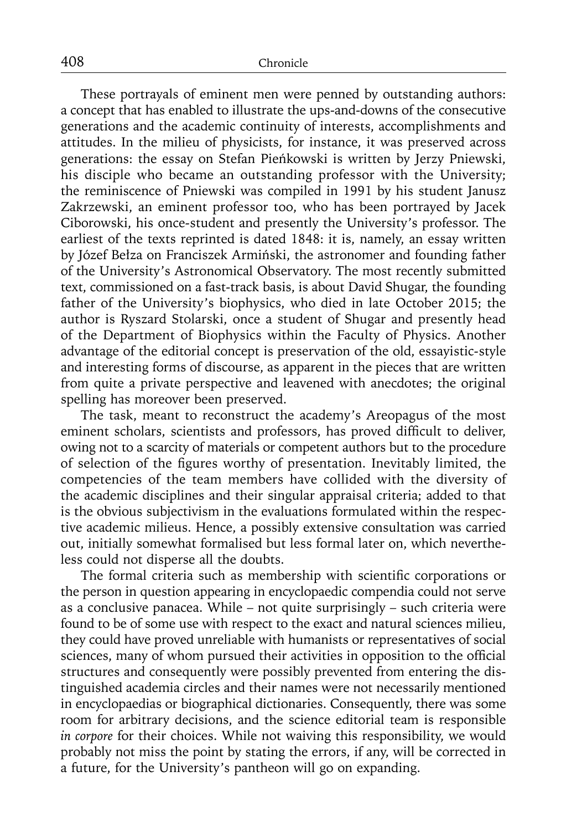These portrayals of eminent men were penned by outstanding authors: a concept that has enabled to illustrate the ups-and-downs of the consecutive generations and the academic continuity of interests, accomplishments and attitudes. In the milieu of physicists, for instance, it was preserved across generations: the essay on Stefan Pieńkowski is written by Jerzy Pniewski, his disciple who became an outstanding professor with the University; the reminiscence of Pniewski was compiled in 1991 by his student Janusz Zakrzewski, an eminent professor too, who has been portrayed by Jacek Ciborowski, his once-student and presently the University's professor. The earliest of the texts reprinted is dated 1848: it is, namely, an essay written by Józef Bełza on Franciszek Armiński, the astronomer and founding father of the University's Astronomical Observatory. The most recently submitted text, commissioned on a fast-track basis, is about David Shugar, the founding father of the University's biophysics, who died in late October 2015; the author is Ryszard Stolarski, once a student of Shugar and presently head of the Department of Biophysics within the Faculty of Physics. Another advantage of the editorial concept is preservation of the old, essayistic-style and interesting forms of discourse, as apparent in the pieces that are written from quite a private perspective and leavened with anecdotes; the original spelling has moreover been preserved.

The task, meant to reconstruct the academy's Areopagus of the most eminent scholars, scientists and professors, has proved difficult to deliver, owing not to a scarcity of materials or competent authors but to the procedure of selection of the figures worthy of presentation. Inevitably limited, the competencies of the team members have collided with the diversity of the academic disciplines and their singular appraisal criteria; added to that is the obvious subjectivism in the evaluations formulated within the respective academic milieus. Hence, a possibly extensive consultation was carried out, initially somewhat formalised but less formal later on, which nevertheless could not disperse all the doubts.

The formal criteria such as membership with scientific corporations or the person in question appearing in encyclopaedic compendia could not serve as a conclusive panacea. While – not quite surprisingly – such criteria were found to be of some use with respect to the exact and natural sciences milieu, they could have proved unreliable with humanists or representatives of social sciences, many of whom pursued their activities in opposition to the official structures and consequently were possibly prevented from entering the distinguished academia circles and their names were not necessarily mentioned in encyclopaedias or biographical dictionaries. Consequently, there was some room for arbitrary decisions, and the science editorial team is responsible *in corpore* for their choices. While not waiving this responsibility, we would probably not miss the point by stating the errors, if any, will be corrected in a future, for the University's pantheon will go on expanding.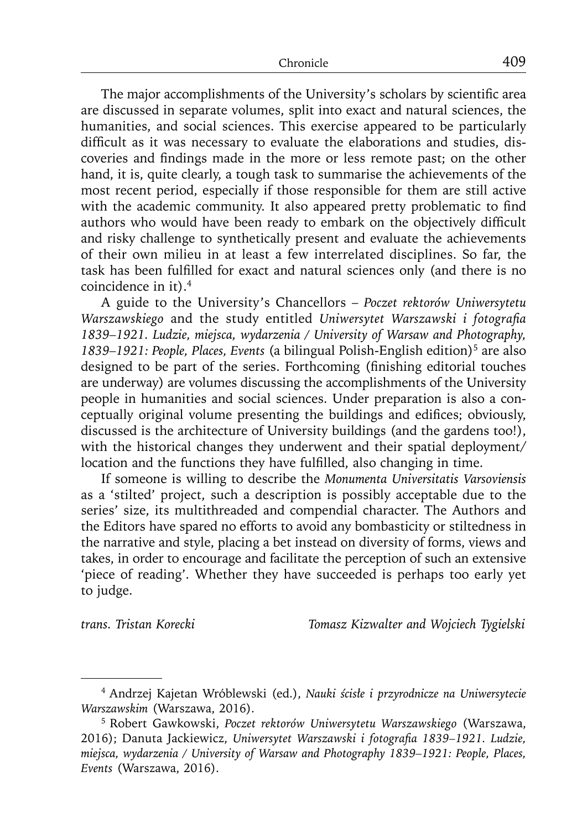The major accomplishments of the University's scholars by scientific area are discussed in separate volumes, split into exact and natural sciences, the humanities, and social sciences. This exercise appeared to be particularly difficult as it was necessary to evaluate the elaborations and studies, discoveries and findings made in the more or less remote past; on the other hand, it is, quite clearly, a tough task to summarise the achievements of the most recent period, especially if those responsible for them are still active with the academic community. It also appeared pretty problematic to find authors who would have been ready to embark on the objectively difficult and risky challenge to synthetically present and evaluate the achievements of their own milieu in at least a few interrelated disciplines. So far, the task has been fulfilled for exact and natural sciences only (and there is no coincidence in it).4

A guide to the University's Chancellors – *Poczet rektorów Uniwersytetu Warszawskiego* and the study entitled *Uniwersytet Warszawski i fotografia 1839–1921. Ludzie, miejsca, wydarzenia / University of Warsaw and Photography, 1839–1921: People, Places, Events* (a bilingual Polish-English edition)5 are also designed to be part of the series. Forthcoming (finishing editorial touches are underway) are volumes discussing the accomplishments of the University people in humanities and social sciences. Under preparation is also a conceptually original volume presenting the buildings and edifices; obviously, discussed is the architecture of University buildings (and the gardens too!), with the historical changes they underwent and their spatial deployment/ location and the functions they have fulfilled, also changing in time.

If someone is willing to describe the *Monumenta Universitatis Varsoviensis*  as a 'stilted' project, such a description is possibly acceptable due to the series' size, its multithreaded and compendial character. The Authors and the Editors have spared no efforts to avoid any bombasticity or stiltedness in the narrative and style, placing a bet instead on diversity of forms, views and takes, in order to encourage and facilitate the perception of such an extensive 'piece of reading'. Whether they have succeeded is perhaps too early yet to judge.

*trans. Tristan Korecki Tomasz Kizwalter and Wojciech Tygielski*

<sup>4</sup> Andrzej Kajetan Wróblewski (ed.), *Nauki ścisłe i przyrodnicze na Uniwersytecie Warszawskim* (Warszawa, 2016).

<sup>5</sup> Robert Gawkowski, *Poczet rektorów Uniwersytetu Warszawskiego* (Warszawa, 2016); Danuta Jackiewicz, Uniwersytet Warszawski i fotografia 1839-1921. Ludzie, *miejsca, wydarzenia / University of Warsaw and Photography 1839–1921: People, Places, Events* (Warszawa, 2016).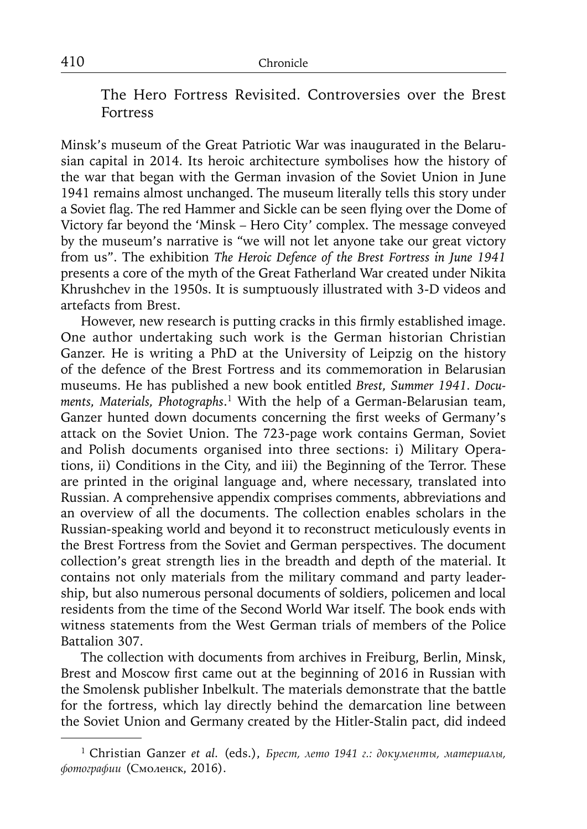The Hero Fortress Revisited. Controversies over the Brest Fortress

Minsk's museum of the Great Patriotic War was inaugurated in the Belarusian capital in 2014. Its heroic architecture symbolises how the history of the war that began with the German invasion of the Soviet Union in June 1941 remains almost unchanged. The museum literally tells this story under a Soviet flag. The red Hammer and Sickle can be seen flying over the Dome of Victory far beyond the 'Minsk – Hero City' complex. The message conveyed by the museum's narrative is "we will not let anyone take our great victory from us". The exhibition *The Heroic Defence of the Brest Fortress in June 1941* presents a core of the myth of the Great Fatherland War created under Nikita Khrushchev in the 1950s. It is sumptuously illustrated with 3-D videos and artefacts from Brest.

However, new research is putting cracks in this firmly established image. One author undertaking such work is the German historian Christian Ganzer. He is writing a PhD at the University of Leipzig on the history of the defence of the Brest Fortress and its commemoration in Belarusian museums. He has published a new book entitled *Brest, Summer 1941. Documents, Materials, Photographs*. 1 With the help of a German-Belarusian team, Ganzer hunted down documents concerning the first weeks of Germany's attack on the Soviet Union. The 723-page work contains German, Soviet and Polish documents organised into three sections: i) Military Operations, ii) Conditions in the City, and iii) the Beginning of the Terror. These are printed in the original language and, where necessary, translated into Russian. A comprehensive appendix comprises comments, abbreviations and an overview of all the documents. The collection enables scholars in the Russian-speaking world and beyond it to reconstruct meticulously events in the Brest Fortress from the Soviet and German perspectives. The document collection's great strength lies in the breadth and depth of the material. It contains not only materials from the military command and party leadership, but also numerous personal documents of soldiers, policemen and local residents from the time of the Second World War itself. The book ends with witness statements from the West German trials of members of the Police Battalion 307.

The collection with documents from archives in Freiburg, Berlin, Minsk, Brest and Moscow first came out at the beginning of 2016 in Russian with the Smolensk publisher Inbelkult. The materials demonstrate that the battle for the fortress, which lay directly behind the demarcation line between the Soviet Union and Germany created by the Hitler-Stalin pact, did indeed

<sup>1</sup> Christian Ganzer *et al.* (eds.), *Брест, лето 1941 г.: документы, материалы, фотографии* (Смоленск, 2016).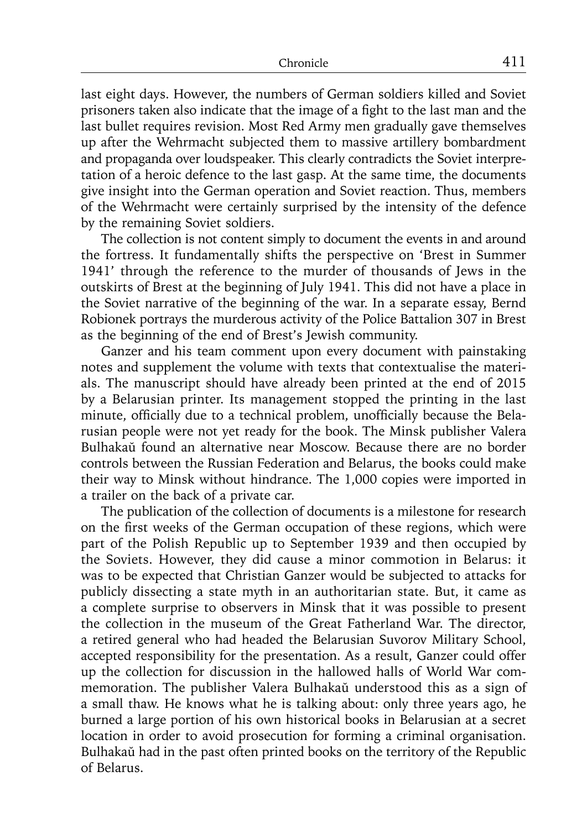last eight days. However, the numbers of German soldiers killed and Soviet prisoners taken also indicate that the image of a fight to the last man and the last bullet requires revision. Most Red Army men gradually gave themselves up after the Wehrmacht subjected them to massive artillery bombardment and propaganda over loudspeaker. This clearly contradicts the Soviet interpretation of a heroic defence to the last gasp. At the same time, the documents give insight into the German operation and Soviet reaction. Thus, members of the Wehrmacht were certainly surprised by the intensity of the defence by the remaining Soviet soldiers.

The collection is not content simply to document the events in and around the fortress. It fundamentally shifts the perspective on 'Brest in Summer 1941' through the reference to the murder of thousands of Jews in the outskirts of Brest at the beginning of July 1941. This did not have a place in the Soviet narrative of the beginning of the war. In a separate essay, Bernd Robionek portrays the murderous activity of the Police Battalion 307 in Brest as the beginning of the end of Brest's Jewish community.

Ganzer and his team comment upon every document with painstaking notes and supplement the volume with texts that contextualise the materials. The manuscript should have already been printed at the end of 2015 by a Belarusian printer. Its management stopped the printing in the last minute, officially due to a technical problem, unofficially because the Belarusian people were not yet ready for the book. The Minsk publisher Valera Bulhakaŭ found an alternative near Moscow. Because there are no border controls between the Russian Federation and Belarus, the books could make their way to Minsk without hindrance. The 1,000 copies were imported in a trailer on the back of a private car.

The publication of the collection of documents is a milestone for research on the first weeks of the German occupation of these regions, which were part of the Polish Republic up to September 1939 and then occupied by the Soviets. However, they did cause a minor commotion in Belarus: it was to be expected that Christian Ganzer would be subjected to attacks for publicly dissecting a state myth in an authoritarian state. But, it came as a complete surprise to observers in Minsk that it was possible to present the collection in the museum of the Great Fatherland War. The director, a retired general who had headed the Belarusian Suvorov Military School, accepted responsibility for the presentation. As a result, Ganzer could offer up the collection for discussion in the hallowed halls of World War commemoration. The publisher Valera Bulhakaŭ understood this as a sign of a small thaw. He knows what he is talking about: only three years ago, he burned a large portion of his own historical books in Belarusian at a secret location in order to avoid prosecution for forming a criminal organisation. Bulhakaŭ had in the past often printed books on the territory of the Republic of Belarus.